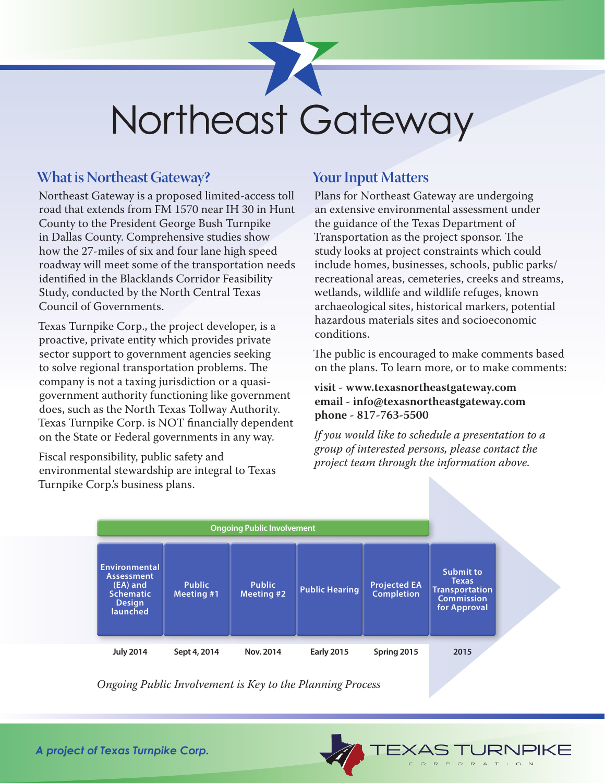## Northeast Gateway

## **What is Northeast Gateway?**

Northeast Gateway is a proposed limited-access toll road that extends from FM 1570 near IH 30 in Hunt County to the President George Bush Turnpike in Dallas County. Comprehensive studies show how the 27-miles of six and four lane high speed roadway will meet some of the transportation needs identified in the Blacklands Corridor Feasibility Study, conducted by the North Central Texas Council of Governments.

Texas Turnpike Corp., the project developer, is a proactive, private entity which provides private sector support to government agencies seeking to solve regional transportation problems. The company is not a taxing jurisdiction or a quasigovernment authority functioning like government does, such as the North Texas Tollway Authority. Texas Turnpike Corp. is NOT financially dependent on the State or Federal governments in any way.

Fiscal responsibility, public safety and environmental stewardship are integral to Texas Turnpike Corp.'s business plans.

## **Your Input Matters**

Plans for Northeast Gateway are undergoing an extensive environmental assessment under the guidance of the Texas Department of Transportation as the project sponsor. The study looks at project constraints which could include homes, businesses, schools, public parks/ recreational areas, cemeteries, creeks and streams, wetlands, wildlife and wildlife refuges, known archaeological sites, historical markers, potential hazardous materials sites and socioeconomic conditions.

The public is encouraged to make comments based on the plans. To learn more, or to make comments:

## **visit - www.texasnortheastgateway.com email - info@texasnortheastgateway.com phone - 817-763-5500**

*If you would like to schedule a presentation to a group of interested persons, please contact the project team through the information above.*

JRNPIKE

PORATION

 $\Rightarrow$ 



*Ongoing Public Involvement is Key to the Planning Process*